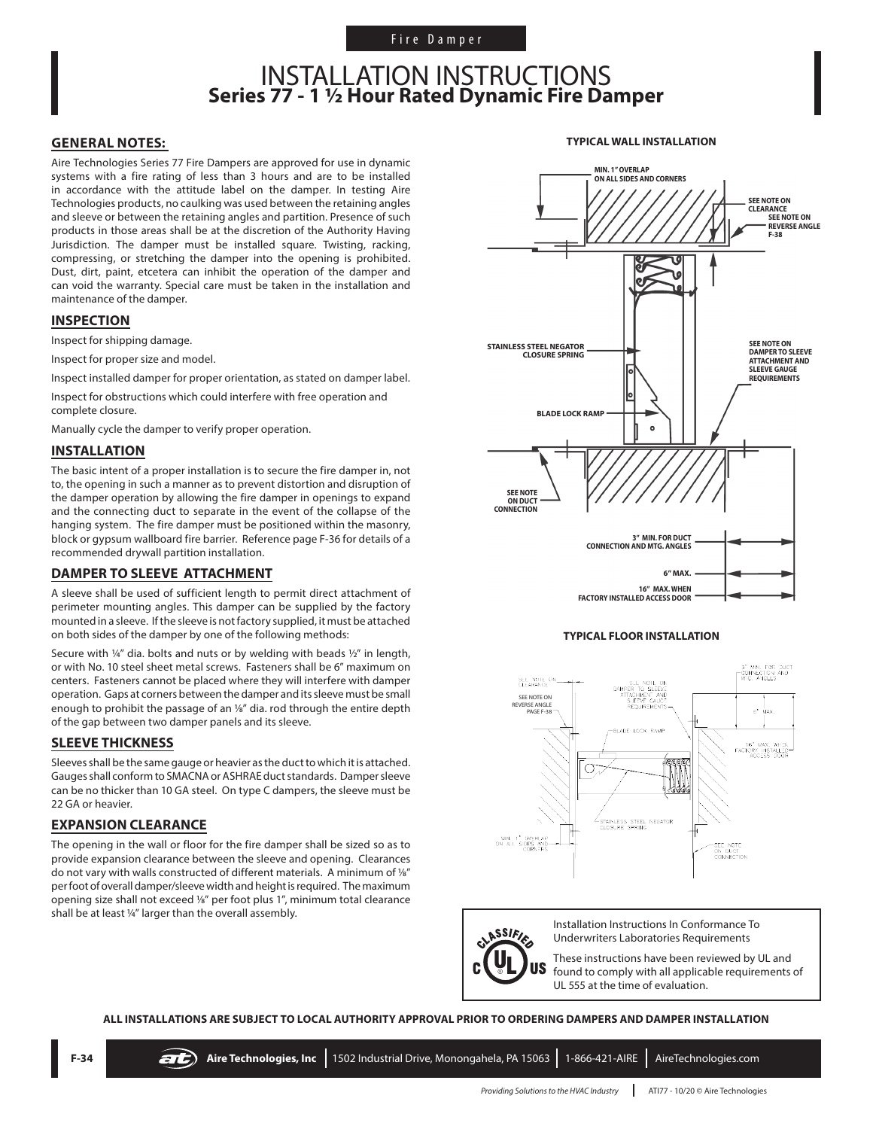### INSTALLATION INSTRUCTIONS **Series 77 - 1 1/2 Hour Rated Dynamic Fire Damper**

#### **GENERAL NOTES:**

Aire Technologies Series 77 Fire Dampers are approved for use in dynamic systems with a fire rating of less than 3 hours and are to be installed in accordance with the attitude label on the damper. In testing Aire Technologies products, no caulking was used between the retaining angles and sleeve or between the retaining angles and partition. Presence of such products in those areas shall be at the discretion of the Authority Having Jurisdiction. The damper must be installed square. Twisting, racking, compressing, or stretching the damper into the opening is prohibited. Dust, dirt, paint, etcetera can inhibit the operation of the damper and can void the warranty. Special care must be taken in the installation and maintenance of the damper.

#### **INSPECTION**

Inspect for shipping damage.

Inspect for proper size and model.

Inspect installed damper for proper orientation, as stated on damper label.

Inspect for obstructions which could interfere with free operation and complete closure.

Manually cycle the damper to verify proper operation.

#### **INSTALLATION**

The basic intent of a proper installation is to secure the fire damper in, not to, the opening in such a manner as to prevent distortion and disruption of the damper operation by allowing the fire damper in openings to expand and the connecting duct to separate in the event of the collapse of the hanging system. The fire damper must be positioned within the masonry, block or gypsum wallboard fire barrier. Reference page F-36 for details of a recommended drywall partition installation.

#### **DAMPER TO SLEEVE ATTACHMENT**

A sleeve shall be used of sufficient length to permit direct attachment of perimeter mounting angles. This damper can be supplied by the factory mounted in a sleeve. If the sleeve is not factory supplied, it must be attached on both sides of the damper by one of the following methods:

Secure with ¼" dia. bolts and nuts or by welding with beads ½" in length, or with No. 10 steel sheet metal screws. Fasteners shall be 6" maximum on centers. Fasteners cannot be placed where they will interfere with damper operation. Gaps at corners between the damper and its sleeve must be small enough to prohibit the passage of an 1/8" dia. rod through the entire depth of the gap between two damper panels and its sleeve.

#### **SLEEVE THICKNESS**

Sleeves shall be the same gauge or heavier as the duct to which it is attached. Gauges shall conform to SMACNA or ASHRAE duct standards. Damper sleeve can be no thicker than 10 GA steel. On type C dampers, the sleeve must be 22 GA or heavier.

#### **EXPANSION CLEARANCE**

The opening in the wall or floor for the fire damper shall be sized so as to provide expansion clearance between the sleeve and opening. Clearances do not vary with walls constructed of different materials. A minimum of 1/8" per foot of overall damper/sleeve width and height is required. The maximum opening size shall not exceed 1/8" per foot plus 1", minimum total clearance shall be at least 1/4" larger than the overall assembly.



#### **TYPICAL FLOOR INSTALLATION**





Installation Instructions In Conformance To Underwriters Laboratories Requirements

These instructions have been reviewed by UL and found to comply with all applicable requirements of UL 555 at the time of evaluation.

**ALL INSTALLATIONS ARE SUBJECT TO LOCAL AUTHORITY APPROVAL PRIOR TO ORDERING DAMPERS AND DAMPER INSTALLATION**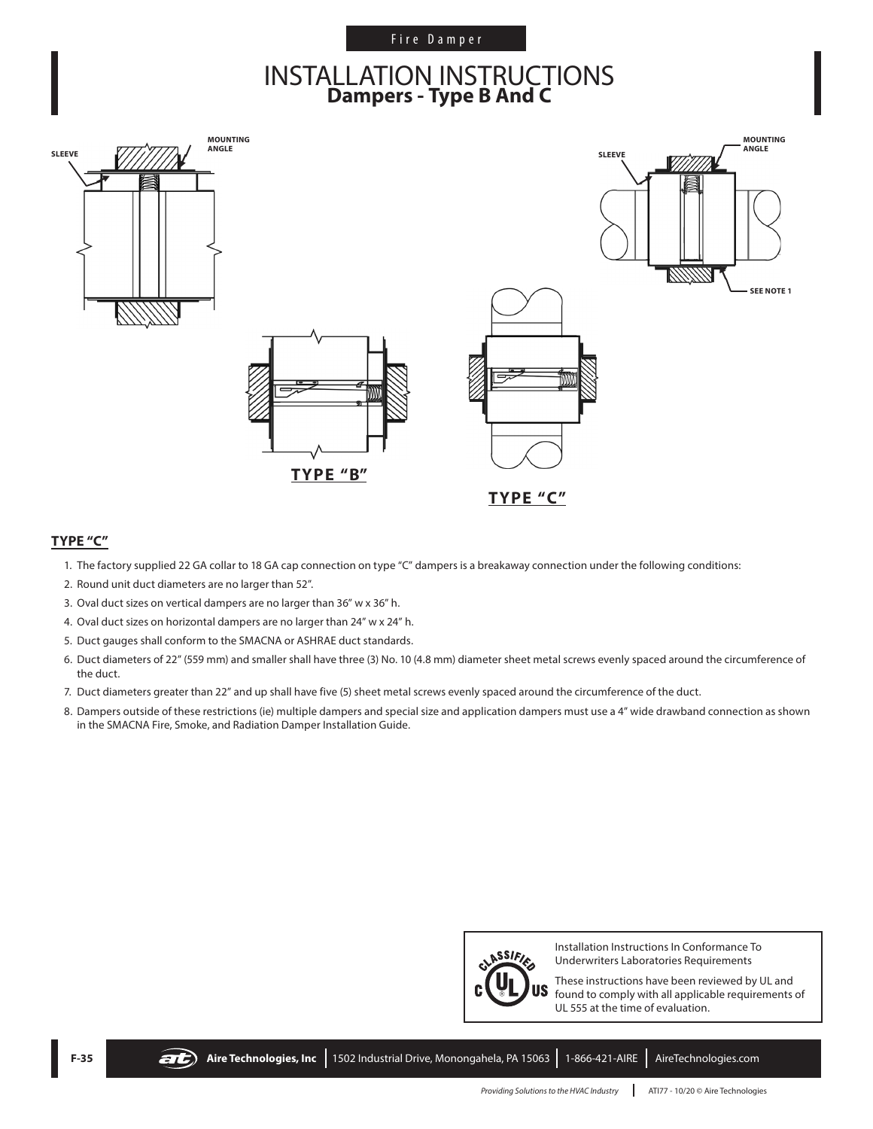#### Fire Damper

### **INSTALLATION INSTRUCTIONS Dampers - Type B And C**



#### **TYPE "C"**

- 1. The factory supplied 22 GA collar to 18 GA cap connection on type "C" dampers is a breakaway connection under the following conditions:
- 2. Round unit duct diameters are no larger than 52".
- 3. Oval duct sizes on vertical dampers are no larger than 36" w x 36" h.
- 4. Oval duct sizes on horizontal dampers are no larger than 24" w x 24" h.
- 5. Duct gauges shall conform to the SMACNA or ASHRAE duct standards.
- 6. Duct diameters of 22" (559 mm) and smaller shall have three (3) No. 10 (4.8 mm) diameter sheet metal screws evenly spaced around the circumference of the duct.
- 7. Duct diameters greater than 22" and up shall have five (5) sheet metal screws evenly spaced around the circumference of the duct.
- 8. Dampers outside of these restrictions (ie) multiple dampers and special size and application dampers must use a 4" wide drawband connection as shown in the SMACNA Fire, Smoke, and Radiation Damper Installation Guide.



Installation Instructions In Conformance To Underwriters Laboratories Requirements

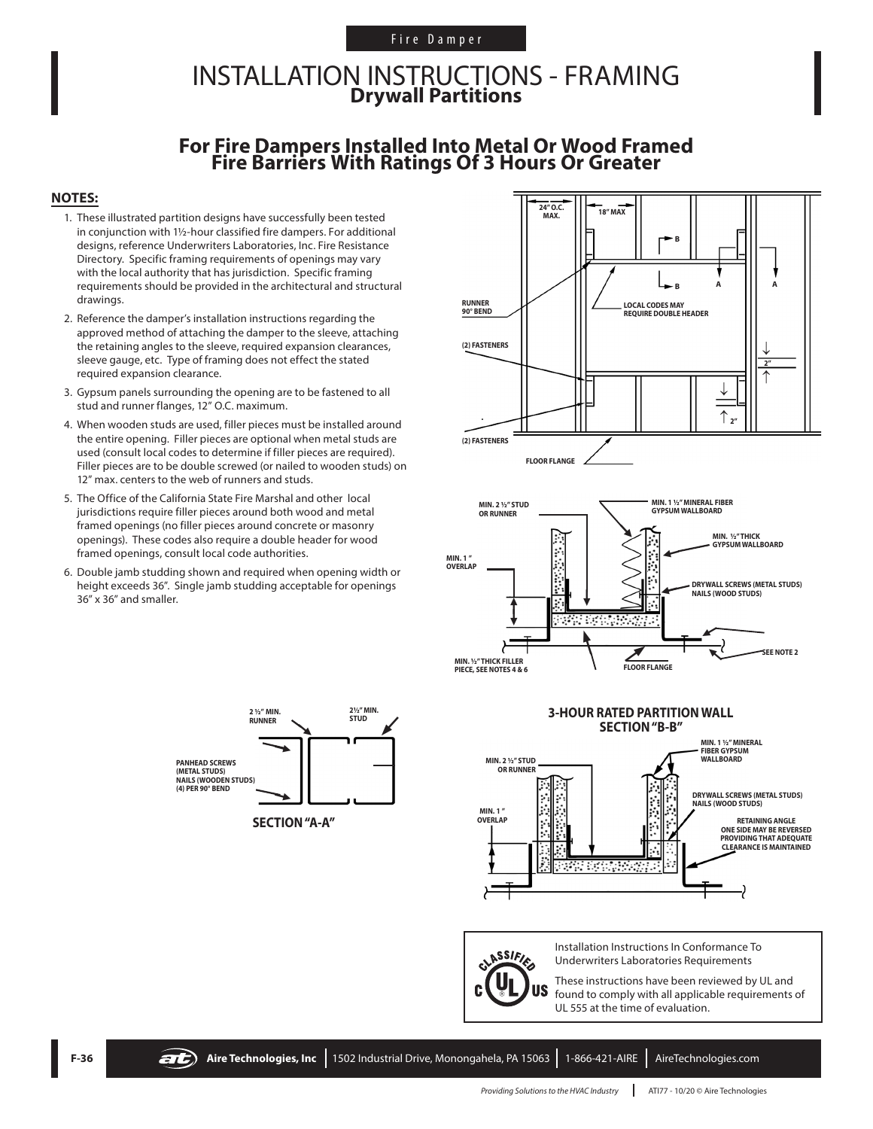#### Fire Damper

### INSTALLATION INSTRUCTIONS - FRAMING **Drywall Partitions**

# **For Fire Dampers Installed Into Metal Or Wood Framed Fire Barriers With Ratings Of 3 Hours Or Greater**

#### **NOTES:**

- 1. These illustrated partition designs have successfully been tested in conjunction with 1½-hour classified fire dampers. For additional designs, reference Underwriters Laboratories, Inc. Fire Resistance Directory. Specific framing requirements of openings may vary with the local authority that has jurisdiction. Specific framing requirements should be provided in the architectural and structural drawings.
- 2. Reference the damper's installation instructions regarding the approved method of attaching the damper to the sleeve, attaching the retaining angles to the sleeve, required expansion clearances, sleeve gauge, etc. Type of framing does not effect the stated required expansion clearance.
- 3. Gypsum panels surrounding the opening are to be fastened to all stud and runner flanges, 12" O.C. maximum.
- 4. When wooden studs are used, filler pieces must be installed around the entire opening. Filler pieces are optional when metal studs are used (consult local codes to determine if filler pieces are required). Filler pieces are to be double screwed (or nailed to wooden studs) on 12" max. centers to the web of runners and studs.
- 5. The Office of the California State Fire Marshal and other local jurisdictions require filler pieces around both wood and metal framed openings (no filler pieces around concrete or masonry openings). These codes also require a double header for wood framed openings, consult local code authorities.
- 6. Double jamb studding shown and required when opening width or height exceeds 36". Single jamb studding acceptable for openings 36" x 36" and smaller.

**PANHEAD SCREWS (METAL STUDS) NAILS (WOODEN STUDS) (4) PER 90° BEND**







CLASSIFIES **US** 

Installation Instructions In Conformance To Underwriters Laboratories Requirements

These instructions have been reviewed by UL and found to comply with all applicable requirements of UL 555 at the time of evaluation.



**RUNNER**

**2½" MIN.** 

 $\angle$ 

**2**  $\frac{V_2''}{V_1}$  MIN. **2**  $\frac{2V_2''}{V_2}$  MIN.

 $\blacktriangleright$ 

 $\blacktriangleright$ 

→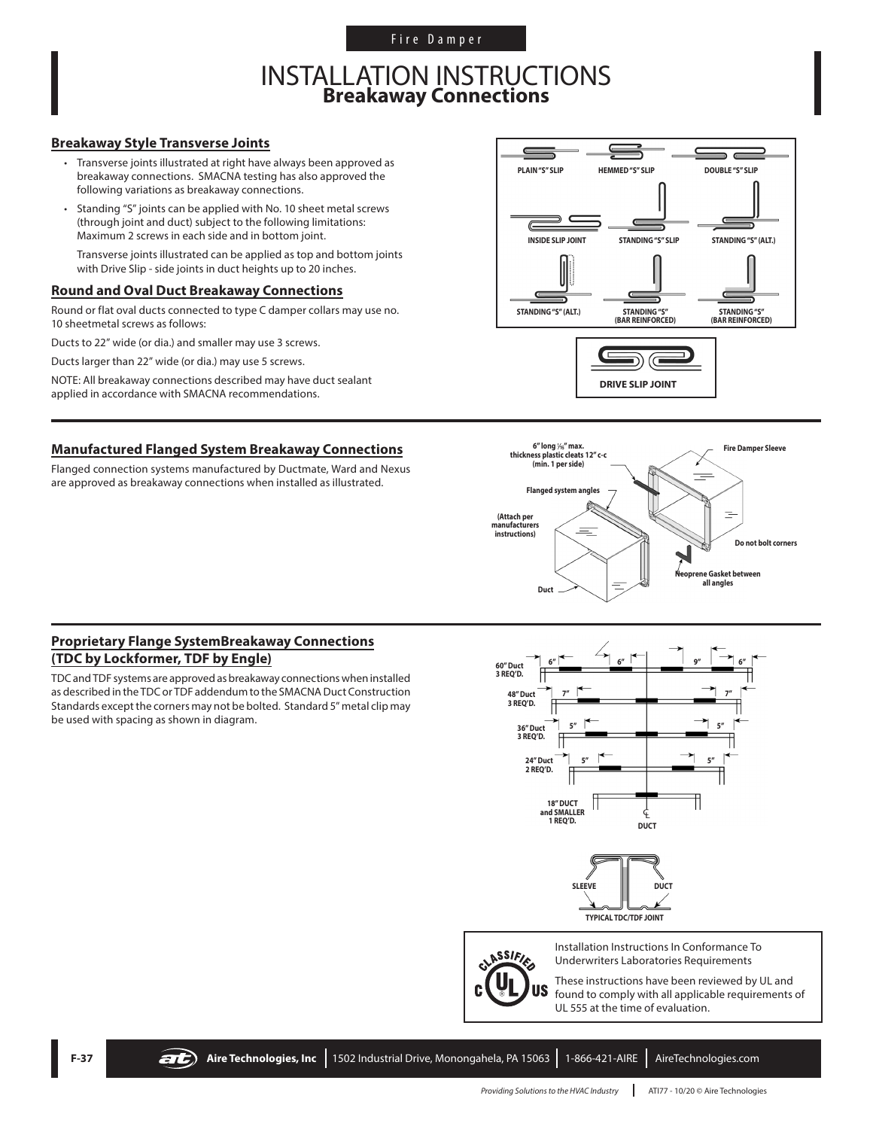Fire Damper

### INSTALLATION INSTRUCTIONS **Breakaway Connections**

#### **Breakaway Style Transverse Joints**

- Transverse joints illustrated at right have always been approved as breakaway connections. SMACNA testing has also approved the following variations as breakaway connections.
- Standing "S" joints can be applied with No. 10 sheet metal screws (through joint and duct) subject to the following limitations: Maximum 2 screws in each side and in bottom joint.

Transverse joints illustrated can be applied as top and bottom joints with Drive Slip - side joints in duct heights up to 20 inches.

#### **Round and Oval Duct Breakaway Connections**

Round or flat oval ducts connected to type C damper collars may use no. 10 sheetmetal screws as follows:

Ducts to 22" wide (or dia.) and smaller may use 3 screws.

Ducts larger than 22" wide (or dia.) may use 5 screws.

NOTE: All breakaway connections described may have duct sealant applied in accordance with SMACNA recommendations.

#### **Manufactured Flanged System Breakaway Connections**

Flanged connection systems manufactured by Ductmate, Ward and Nexus are approved as breakaway connections when installed as illustrated.





#### **Proprietary Flange SystemBreakaway Connections (TDC by Lockformer, TDF by Engle)**

TDC and TDF systems are approved as breakaway connections when installed as described in the TDC or TDF addendum to the SMACNA Duct Construction Standards except the corners may not be bolted. Standard 5" metal clip may be used with spacing as shown in diagram.



**TYPICAL TDC/TDF JOINT**



Installation Instructions In Conformance To Underwriters Laboratories Requirements

These instructions have been reviewed by UL and found to comply with all applicable requirements of UL 555 at the time of evaluation.

**F-37 Aire Technologies, Inc** 1502 Industrial Drive, Monongahela, PA 15063 1-866-421-AIRE AireTechnologies.com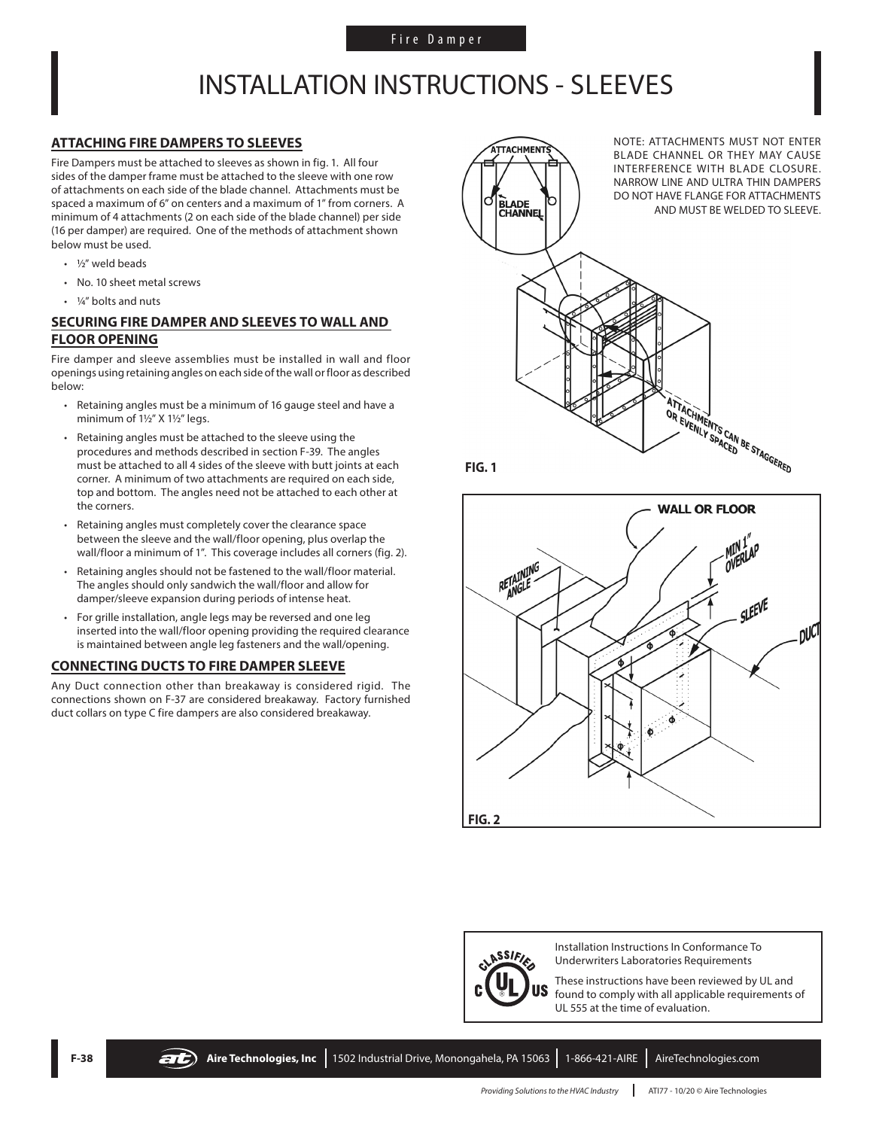## INSTALLATION INSTRUCTIONS - SLEEVES

#### **ATTACHING FIRE DAMPERS TO SLEEVES**

Fire Dampers must be attached to sleeves as shown in fig. 1. All four sides of the damper frame must be attached to the sleeve with one row of attachments on each side of the blade channel. Attachments must be spaced a maximum of 6" on centers and a maximum of 1" from corners. A minimum of 4 attachments (2 on each side of the blade channel) per side (16 per damper) are required. One of the methods of attachment shown below must be used.

- ½" weld beads
- No. 10 sheet metal screws
- 1/4" bolts and nuts

#### **SECURING FIRE DAMPER AND SLEEVES TO WALL AND FLOOR OPENING**

Fire damper and sleeve assemblies must be installed in wall and floor openings using retaining angles on each side of the wall or floor as described below:

- Retaining angles must be a minimum of 16 gauge steel and have a minimum of 1½" X 1½" legs.
- Retaining angles must be attached to the sleeve using the procedures and methods described in section F-39. The angles must be attached to all 4 sides of the sleeve with butt joints at each corner. A minimum of two attachments are required on each side, top and bottom. The angles need not be attached to each other at the corners.
- Retaining angles must completely cover the clearance space between the sleeve and the wall/floor opening, plus overlap the wall/floor a minimum of 1". This coverage includes all corners (fig. 2).
- Retaining angles should not be fastened to the wall/floor material. The angles should only sandwich the wall/floor and allow for damper/sleeve expansion during periods of intense heat.
- For grille installation, angle legs may be reversed and one leg inserted into the wall/floor opening providing the required clearance is maintained between angle leg fasteners and the wall/opening.

#### **CONNECTING DUCTS TO FIRE DAMPER SLEEVE**

Any Duct connection other than breakaway is considered rigid. The connections shown on F-37 are considered breakaway. Factory furnished duct collars on type C fire dampers are also considered breakaway.



**FIG. 1**





Installation Instructions In Conformance To Underwriters Laboratories Requirements

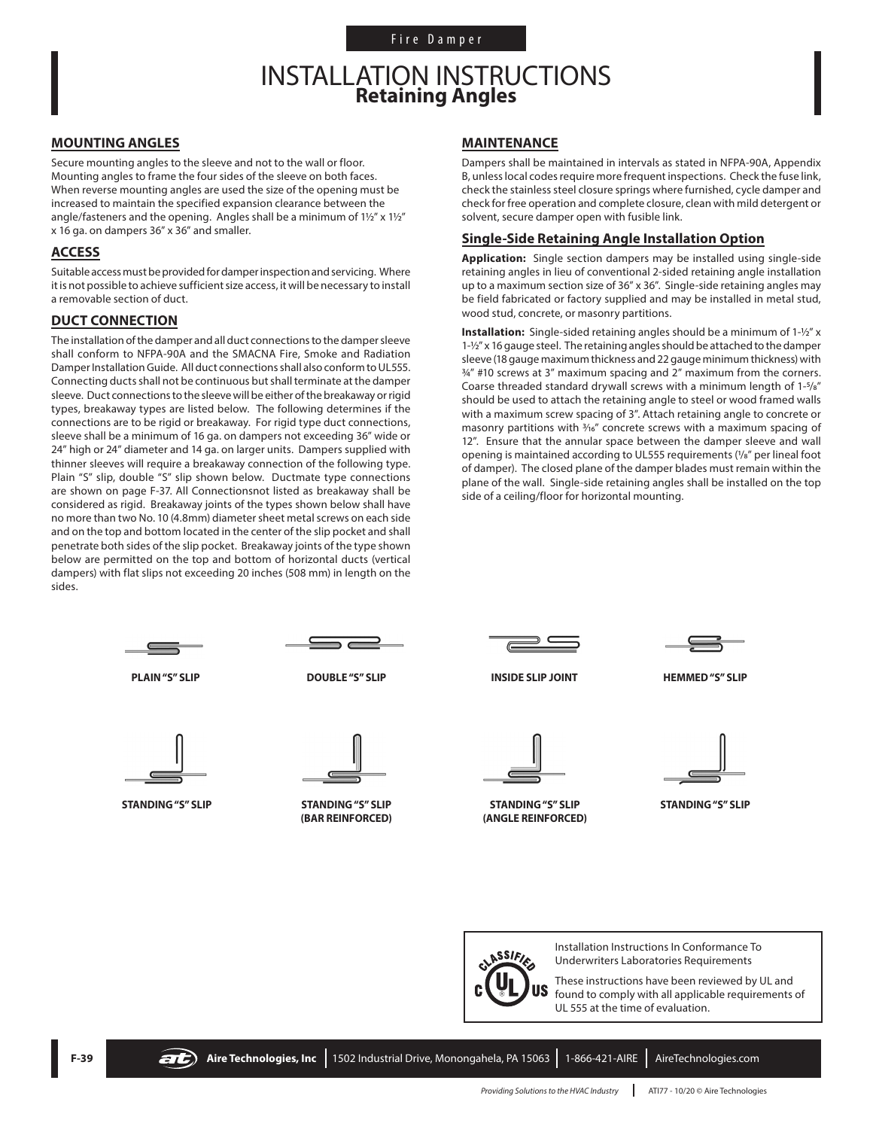### INSTALLATION INSTRUCTIONS **Retaining Angles**

#### **MOUNTING ANGLES**

Secure mounting angles to the sleeve and not to the wall or floor. Mounting angles to frame the four sides of the sleeve on both faces. When reverse mounting angles are used the size of the opening must be increased to maintain the specified expansion clearance between the angle/fasteners and the opening. Angles shall be a minimum of 1½" x 1½" x 16 ga. on dampers 36" x 36" and smaller.

#### **ACCESS**

Suitable access must be provided for damper inspection and servicing. Where it is not possible to achieve sufficient size access, it will be necessary to install a removable section of duct.

#### **DUCT CONNECTION**

The installation of the damper and all duct connections to the damper sleeve shall conform to NFPA-90A and the SMACNA Fire, Smoke and Radiation Damper Installation Guide. All duct connections shall also conform to UL555. Connecting ducts shall not be continuous but shall terminate at the damper sleeve. Duct connections to the sleeve will be either of the breakaway or rigid types, breakaway types are listed below. The following determines if the connections are to be rigid or breakaway. For rigid type duct connections, sleeve shall be a minimum of 16 ga. on dampers not exceeding 36" wide or 24" high or 24" diameter and 14 ga. on larger units. Dampers supplied with thinner sleeves will require a breakaway connection of the following type. Plain "S" slip, double "S" slip shown below. Ductmate type connections are shown on page F-37. All Connectionsnot listed as breakaway shall be considered as rigid. Breakaway joints of the types shown below shall have no more than two No. 10 (4.8mm) diameter sheet metal screws on each side and on the top and bottom located in the center of the slip pocket and shall penetrate both sides of the slip pocket. Breakaway joints of the type shown below are permitted on the top and bottom of horizontal ducts (vertical dampers) with flat slips not exceeding 20 inches (508 mm) in length on the sides.

#### **MAINTENANCE**

Dampers shall be maintained in intervals as stated in NFPA-90A, Appendix B, unless local codes require more frequent inspections. Check the fuse link, check the stainless steel closure springs where furnished, cycle damper and check for free operation and complete closure, clean with mild detergent or solvent, secure damper open with fusible link.

#### **Single-Side Retaining Angle Installation Option**

**Application:** Single section dampers may be installed using single-side retaining angles in lieu of conventional 2-sided retaining angle installation up to a maximum section size of 36" x 36". Single-side retaining angles may be field fabricated or factory supplied and may be installed in metal stud, wood stud, concrete, or masonry partitions.

**Installation:** Single-sided retaining angles should be a minimum of 1-½" x 1-½" x 16 gauge steel. The retaining angles should be attached to the damper sleeve (18 gauge maximum thickness and 22 gauge minimum thickness) with  $34''$  #10 screws at 3<sup>"</sup> maximum spacing and 2" maximum from the corners. Coarse threaded standard drywall screws with a minimum length of 1-5/8" should be used to attach the retaining angle to steel or wood framed walls with a maximum screw spacing of 3". Attach retaining angle to concrete or masonry partitions with  $\frac{3}{16}$ " concrete screws with a maximum spacing of 12". Ensure that the annular space between the damper sleeve and wall opening is maintained according to UL555 requirements (1/8" per lineal foot of damper). The closed plane of the damper blades must remain within the plane of the wall. Single-side retaining angles shall be installed on the top side of a ceiling/floor for horizontal mounting.



ASSIFIE US Installation Instructions In Conformance To Underwriters Laboratories Requirements